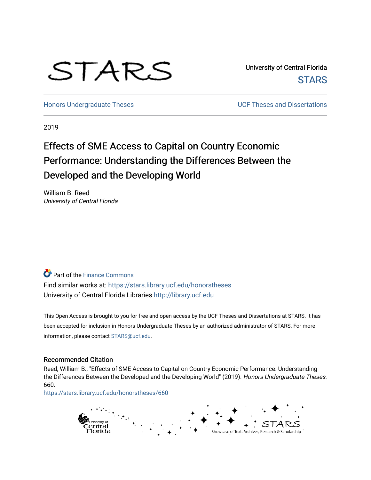# STARS

University of Central Florida **STARS** 

[Honors Undergraduate Theses](https://stars.library.ucf.edu/honorstheses) **No. 2018** UCF Theses and Dissertations

2019

# Effects of SME Access to Capital on Country Economic Performance: Understanding the Differences Between the Developed and the Developing World

William B. Reed University of Central Florida

**Part of the Finance Commons** Find similar works at: <https://stars.library.ucf.edu/honorstheses> University of Central Florida Libraries [http://library.ucf.edu](http://library.ucf.edu/) 

This Open Access is brought to you for free and open access by the UCF Theses and Dissertations at STARS. It has been accepted for inclusion in Honors Undergraduate Theses by an authorized administrator of STARS. For more information, please contact [STARS@ucf.edu.](mailto:STARS@ucf.edu)

#### Recommended Citation

Reed, William B., "Effects of SME Access to Capital on Country Economic Performance: Understanding the Differences Between the Developed and the Developing World" (2019). Honors Undergraduate Theses. 660.

[https://stars.library.ucf.edu/honorstheses/660](https://stars.library.ucf.edu/honorstheses/660?utm_source=stars.library.ucf.edu%2Fhonorstheses%2F660&utm_medium=PDF&utm_campaign=PDFCoverPages) 

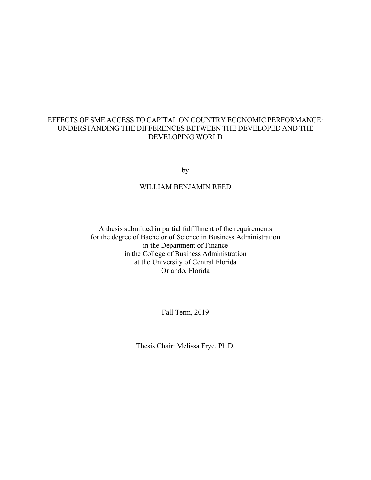## EFFECTS OF SME ACCESS TO CAPITAL ON COUNTRY ECONOMIC PERFORMANCE: UNDERSTANDING THE DIFFERENCES BETWEEN THE DEVELOPED AND THE DEVELOPING WORLD

by

## WILLIAM BENJAMIN REED

A thesis submitted in partial fulfillment of the requirements for the degree of Bachelor of Science in Business Administration in the Department of Finance in the College of Business Administration at the University of Central Florida Orlando, Florida

Fall Term, 2019

Thesis Chair: Melissa Frye, Ph.D.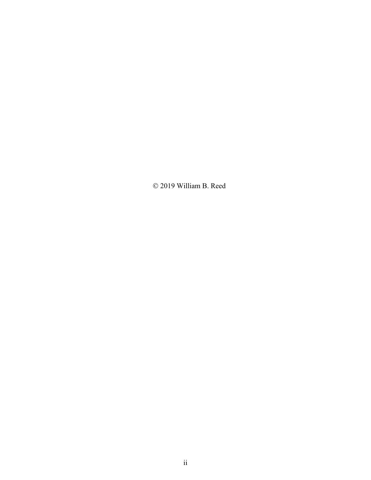Ó 2019 William B. Reed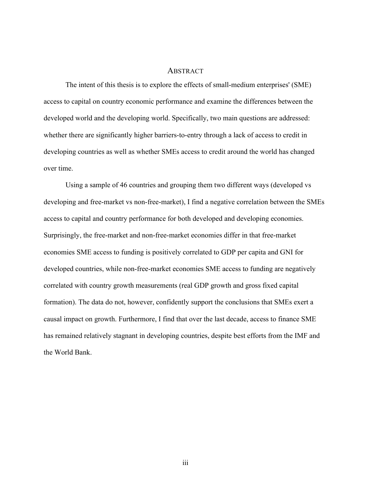#### **ABSTRACT**

The intent of this thesis is to explore the effects of small-medium enterprises' (SME) access to capital on country economic performance and examine the differences between the developed world and the developing world. Specifically, two main questions are addressed: whether there are significantly higher barriers-to-entry through a lack of access to credit in developing countries as well as whether SMEs access to credit around the world has changed over time.

Using a sample of 46 countries and grouping them two different ways (developed vs developing and free-market vs non-free-market), I find a negative correlation between the SMEs access to capital and country performance for both developed and developing economies. Surprisingly, the free-market and non-free-market economies differ in that free-market economies SME access to funding is positively correlated to GDP per capita and GNI for developed countries, while non-free-market economies SME access to funding are negatively correlated with country growth measurements (real GDP growth and gross fixed capital formation). The data do not, however, confidently support the conclusions that SMEs exert a causal impact on growth. Furthermore, I find that over the last decade, access to finance SME has remained relatively stagnant in developing countries, despite best efforts from the IMF and the World Bank.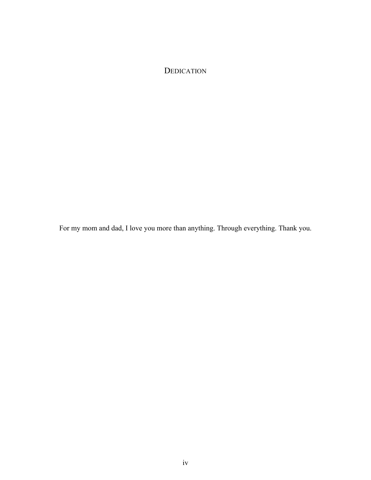DEDICATION

For my mom and dad, I love you more than anything. Through everything. Thank you.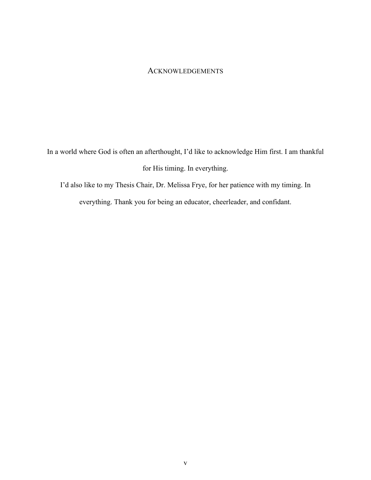## ACKNOWLEDGEMENTS

In a world where God is often an afterthought, I'd like to acknowledge Him first. I am thankful for His timing. In everything.

I'd also like to my Thesis Chair, Dr. Melissa Frye, for her patience with my timing. In everything. Thank you for being an educator, cheerleader, and confidant.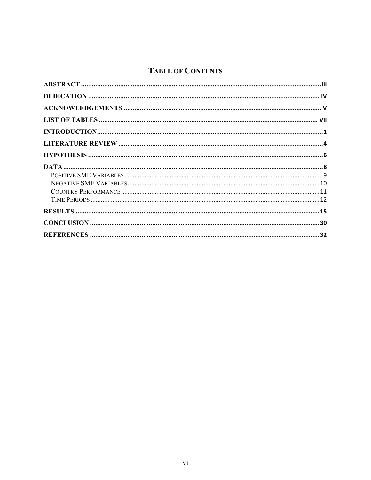## **TABLE OF CONTENTS**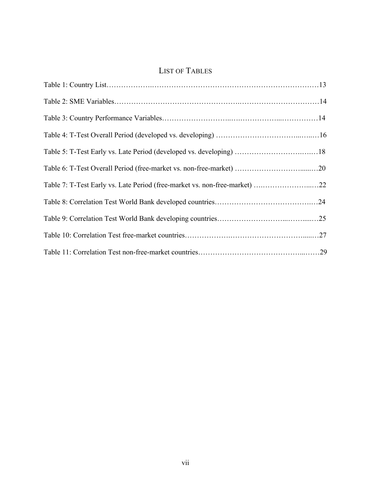## LIST OF TABLES

| Table 5: T-Test Early vs. Late Period (developed vs. developing) 18        |  |
|----------------------------------------------------------------------------|--|
|                                                                            |  |
| Table 7: T-Test Early vs. Late Period (free-market vs. non-free-market) 22 |  |
|                                                                            |  |
|                                                                            |  |
|                                                                            |  |
|                                                                            |  |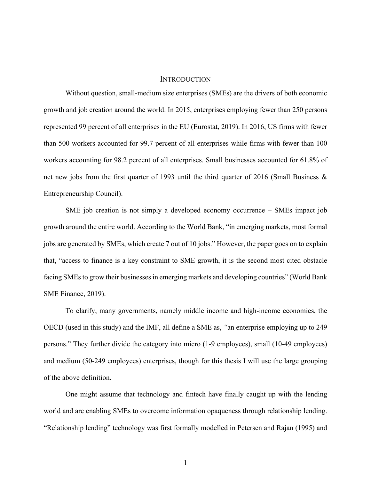#### **INTRODUCTION**

Without question, small-medium size enterprises (SMEs) are the drivers of both economic growth and job creation around the world. In 2015, enterprises employing fewer than 250 persons represented 99 percent of all enterprises in the EU (Eurostat, 2019). In 2016, US firms with fewer than 500 workers accounted for 99.7 percent of all enterprises while firms with fewer than 100 workers accounting for 98.2 percent of all enterprises. Small businesses accounted for 61.8% of net new jobs from the first quarter of 1993 until the third quarter of 2016 (Small Business & Entrepreneurship Council).

SME job creation is not simply a developed economy occurrence – SMEs impact job growth around the entire world. According to the World Bank, "in emerging markets, most formal jobs are generated by SMEs, which create 7 out of 10 jobs." However, the paper goes on to explain that, "access to finance is a key constraint to SME growth, it is the second most cited obstacle facing SMEs to grow their businesses in emerging markets and developing countries" (World Bank SME Finance, 2019).

To clarify, many governments, namely middle income and high-income economies, the OECD (used in this study) and the IMF, all define a SME as, *"*an enterprise employing up to 249 persons." They further divide the category into micro (1-9 employees), small (10-49 employees) and medium (50-249 employees) enterprises, though for this thesis I will use the large grouping of the above definition.

One might assume that technology and fintech have finally caught up with the lending world and are enabling SMEs to overcome information opaqueness through relationship lending. "Relationship lending" technology was first formally modelled in Petersen and Rajan (1995) and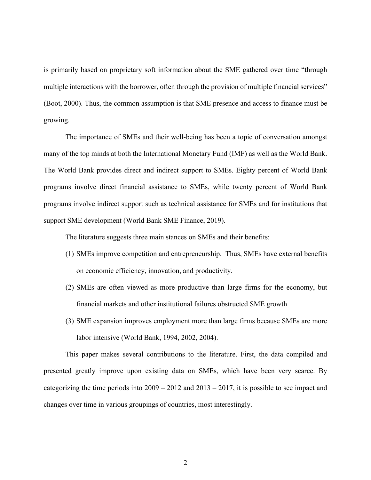is primarily based on proprietary soft information about the SME gathered over time "through multiple interactions with the borrower, often through the provision of multiple financial services" (Boot, 2000). Thus, the common assumption is that SME presence and access to finance must be growing.

The importance of SMEs and their well-being has been a topic of conversation amongst many of the top minds at both the International Monetary Fund (IMF) as well as the World Bank. The World Bank provides direct and indirect support to SMEs. Eighty percent of World Bank programs involve direct financial assistance to SMEs, while twenty percent of World Bank programs involve indirect support such as technical assistance for SMEs and for institutions that support SME development (World Bank SME Finance, 2019).

The literature suggests three main stances on SMEs and their benefits:

- (1) SMEs improve competition and entrepreneurship. Thus, SMEs have external benefits on economic efficiency, innovation, and productivity.
- (2) SMEs are often viewed as more productive than large firms for the economy, but financial markets and other institutional failures obstructed SME growth
- (3) SME expansion improves employment more than large firms because SMEs are more labor intensive (World Bank, 1994, 2002, 2004).

This paper makes several contributions to the literature. First, the data compiled and presented greatly improve upon existing data on SMEs, which have been very scarce. By categorizing the time periods into 2009 – 2012 and 2013 – 2017, it is possible to see impact and changes over time in various groupings of countries, most interestingly.

2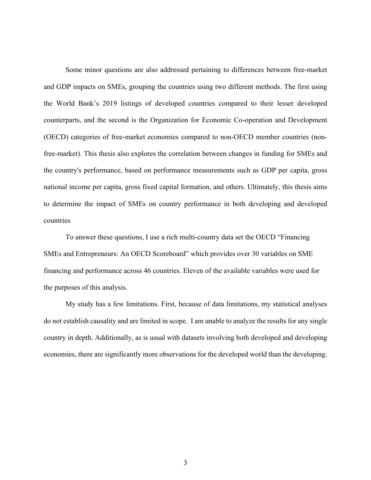Some minor questions are also addressed pertaining to differences between free-market and GDP impacts on SMEs, grouping the countries using two different methods. The first using the World Bank's 2019 listings of developed countries compared to their lesser developed counterparts, and the second is the Organization for Economic Co-operation and Development (OECD) categories of free-market economies compared to non-OECD member countries (nonfree-market). This thesis also explores the correlation between changes in funding for SMEs and the country's performance, based on performance measurements such as GDP per capita, gross national income per capita, gross fixed capital formation, and others. Ultimately, this thesis aims to determine the impact of SMEs on country performance in both developing and developed countries

To answer these questions, I use a rich multi-country data set the OECD "Financing SMEs and Entrepreneurs: An OECD Scoreboard" which provides over 30 variables on SME financing and performance across 46 countries. Eleven of the available variables were used for the purposes of this analysis.

My study has a few limitations. First, because of data limitations, my statistical analyses do not establish causality and are limited in scope. I am unable to analyze the results for any single country in depth. Additionally, as is usual with datasets involving both developed and developing economies, there are significantly more observations for the developed world than the developing.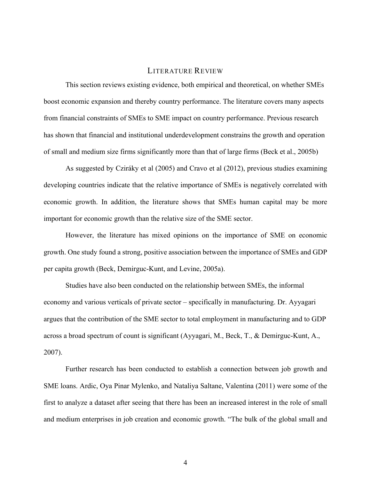#### LITERATURE REVIEW

This section reviews existing evidence, both empirical and theoretical, on whether SMEs boost economic expansion and thereby country performance. The literature covers many aspects from financial constraints of SMEs to SME impact on country performance. Previous research has shown that financial and institutional underdevelopment constrains the growth and operation of small and medium size firms significantly more than that of large firms (Beck et al., 2005b)

As suggested by Cziráky et al (2005) and Cravo et al (2012), previous studies examining developing countries indicate that the relative importance of SMEs is negatively correlated with economic growth. In addition, the literature shows that SMEs human capital may be more important for economic growth than the relative size of the SME sector.

However, the literature has mixed opinions on the importance of SME on economic growth. One study found a strong, positive association between the importance of SMEs and GDP per capita growth (Beck, Demirguc-Kunt, and Levine, 2005a).

Studies have also been conducted on the relationship between SMEs, the informal economy and various verticals of private sector – specifically in manufacturing. Dr. Ayyagari argues that the contribution of the SME sector to total employment in manufacturing and to GDP across a broad spectrum of count is significant (Ayyagari, M., Beck, T., & Demirguc-Kunt, A., 2007).

Further research has been conducted to establish a connection between job growth and SME loans. Ardic, Oya Pinar Mylenko, and Nataliya Saltane, Valentina (2011) were some of the first to analyze a dataset after seeing that there has been an increased interest in the role of small and medium enterprises in job creation and economic growth. "The bulk of the global small and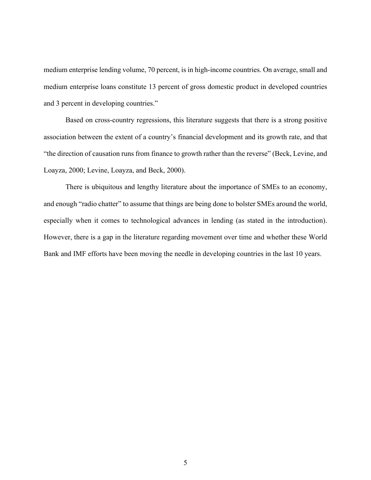medium enterprise lending volume, 70 percent, is in high-income countries. On average, small and medium enterprise loans constitute 13 percent of gross domestic product in developed countries and 3 percent in developing countries."

Based on cross-country regressions, this literature suggests that there is a strong positive association between the extent of a country's financial development and its growth rate, and that "the direction of causation runs from finance to growth rather than the reverse" (Beck, Levine, and Loayza, 2000; Levine, Loayza, and Beck, 2000).

There is ubiquitous and lengthy literature about the importance of SMEs to an economy, and enough "radio chatter" to assume that things are being done to bolster SMEs around the world, especially when it comes to technological advances in lending (as stated in the introduction). However, there is a gap in the literature regarding movement over time and whether these World Bank and IMF efforts have been moving the needle in developing countries in the last 10 years.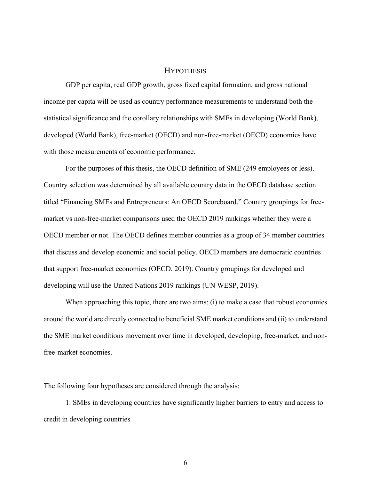#### **HYPOTHESIS**

GDP per capita, real GDP growth, gross fixed capital formation, and gross national income per capita will be used as country performance measurements to understand both the statistical significance and the corollary relationships with SMEs in developing (World Bank), developed (World Bank), free-market (OECD) and non-free-market (OECD) economies have with those measurements of economic performance.

For the purposes of this thesis, the OECD definition of SME (249 employees or less). Country selection was determined by all available country data in the OECD database section titled "Financing SMEs and Entrepreneurs: An OECD Scoreboard." Country groupings for freemarket vs non-free-market comparisons used the OECD 2019 rankings whether they were a OECD member or not. The OECD defines member countries as a group of 34 member countries that discuss and develop economic and social policy. OECD members are democratic countries that support free-market economies (OECD, 2019). Country groupings for developed and developing will use the United Nations 2019 rankings (UN WESP, 2019).

When approaching this topic, there are two aims: (i) to make a case that robust economies around the world are directly connected to beneficial SME market conditions and (ii) to understand the SME market conditions movement over time in developed, developing, free-market, and nonfree-market economies.

The following four hypotheses are considered through the analysis:

1. SMEs in developing countries have significantly higher barriers to entry and access to credit in developing countries

6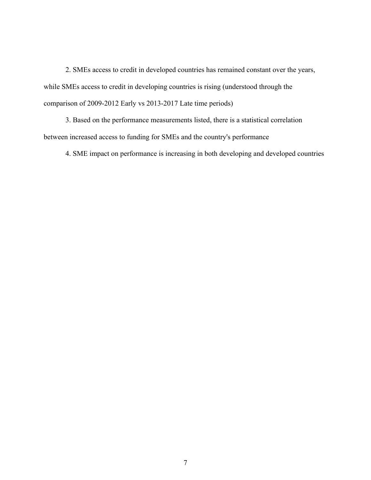2. SMEs access to credit in developed countries has remained constant over the years, while SMEs access to credit in developing countries is rising (understood through the comparison of 2009-2012 Early vs 2013-2017 Late time periods)

3. Based on the performance measurements listed, there is a statistical correlation between increased access to funding for SMEs and the country's performance

4. SME impact on performance is increasing in both developing and developed countries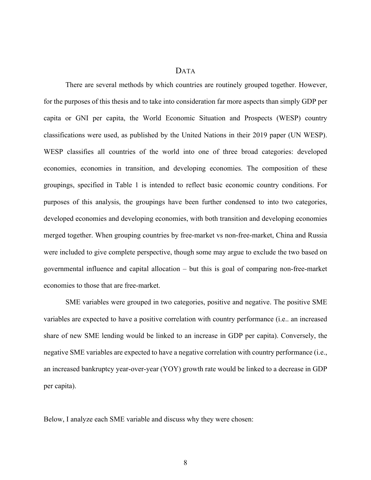#### DATA

There are several methods by which countries are routinely grouped together. However, for the purposes of this thesis and to take into consideration far more aspects than simply GDP per capita or GNI per capita, the World Economic Situation and Prospects (WESP) country classifications were used, as published by the United Nations in their 2019 paper (UN WESP). WESP classifies all countries of the world into one of three broad categories: developed economies, economies in transition, and developing economies. The composition of these groupings, specified in Table 1 is intended to reflect basic economic country conditions. For purposes of this analysis, the groupings have been further condensed to into two categories, developed economies and developing economies, with both transition and developing economies merged together. When grouping countries by free-market vs non-free-market, China and Russia were included to give complete perspective, though some may argue to exclude the two based on governmental influence and capital allocation – but this is goal of comparing non-free-market economies to those that are free-market.

SME variables were grouped in two categories, positive and negative. The positive SME variables are expected to have a positive correlation with country performance (i.e.. an increased share of new SME lending would be linked to an increase in GDP per capita). Conversely, the negative SME variables are expected to have a negative correlation with country performance (i.e., an increased bankruptcy year-over-year (YOY) growth rate would be linked to a decrease in GDP per capita).

Below, I analyze each SME variable and discuss why they were chosen: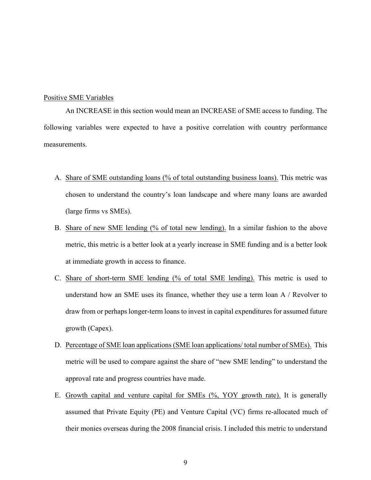#### Positive SME Variables

An INCREASE in this section would mean an INCREASE of SME access to funding. The following variables were expected to have a positive correlation with country performance measurements.

- A. Share of SME outstanding loans (% of total outstanding business loans). This metric was chosen to understand the country's loan landscape and where many loans are awarded (large firms vs SMEs).
- B. Share of new SME lending (% of total new lending). In a similar fashion to the above metric, this metric is a better look at a yearly increase in SME funding and is a better look at immediate growth in access to finance.
- C. Share of short-term SME lending (% of total SME lending). This metric is used to understand how an SME uses its finance, whether they use a term loan A / Revolver to draw from or perhaps longer-term loans to invest in capital expenditures for assumed future growth (Capex).
- D. Percentage of SME loan applications (SME loan applications/ total number of SMEs). This metric will be used to compare against the share of "new SME lending" to understand the approval rate and progress countries have made.
- E. Growth capital and venture capital for SMEs (%, YOY growth rate). It is generally assumed that Private Equity (PE) and Venture Capital (VC) firms re-allocated much of their monies overseas during the 2008 financial crisis. I included this metric to understand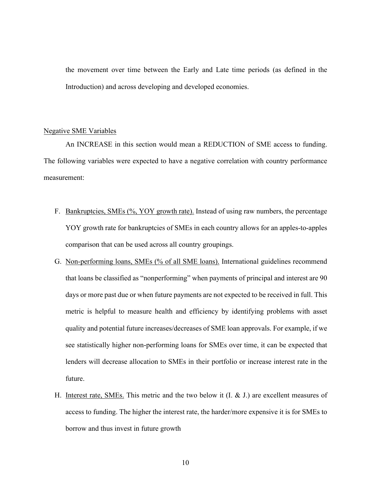the movement over time between the Early and Late time periods (as defined in the Introduction) and across developing and developed economies.

#### Negative SME Variables

An INCREASE in this section would mean a REDUCTION of SME access to funding. The following variables were expected to have a negative correlation with country performance measurement:

- F. Bankruptcies, SMEs (%, YOY growth rate). Instead of using raw numbers, the percentage YOY growth rate for bankruptcies of SMEs in each country allows for an apples-to-apples comparison that can be used across all country groupings.
- G. Non-performing loans, SMEs (% of all SME loans). International guidelines recommend that loans be classified as "nonperforming" when payments of principal and interest are 90 days or more past due or when future payments are not expected to be received in full. This metric is helpful to measure health and efficiency by identifying problems with asset quality and potential future increases/decreases of SME loan approvals. For example, if we see statistically higher non-performing loans for SMEs over time, it can be expected that lenders will decrease allocation to SMEs in their portfolio or increase interest rate in the future.
- H. Interest rate, SMEs. This metric and the two below it  $(I, \& J)$  are excellent measures of access to funding. The higher the interest rate, the harder/more expensive it is for SMEs to borrow and thus invest in future growth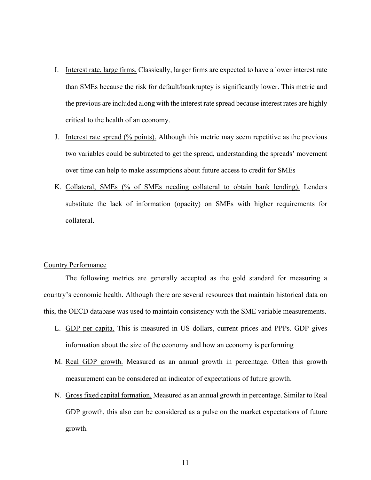- I. Interest rate, large firms. Classically, larger firms are expected to have a lower interest rate than SMEs because the risk for default/bankruptcy is significantly lower. This metric and the previous are included along with the interest rate spread because interest rates are highly critical to the health of an economy.
- J. Interest rate spread (% points). Although this metric may seem repetitive as the previous two variables could be subtracted to get the spread, understanding the spreads' movement over time can help to make assumptions about future access to credit for SMEs
- K. Collateral, SMEs (% of SMEs needing collateral to obtain bank lending). Lenders substitute the lack of information (opacity) on SMEs with higher requirements for collateral.

#### Country Performance

The following metrics are generally accepted as the gold standard for measuring a country's economic health. Although there are several resources that maintain historical data on this, the OECD database was used to maintain consistency with the SME variable measurements.

- L. GDP per capita. This is measured in US dollars, current prices and PPPs. GDP gives information about the size of the economy and how an economy is performing
- M. Real GDP growth. Measured as an annual growth in percentage. Often this growth measurement can be considered an indicator of expectations of future growth.
- N. Gross fixed capital formation. Measured as an annual growth in percentage. Similar to Real GDP growth, this also can be considered as a pulse on the market expectations of future growth.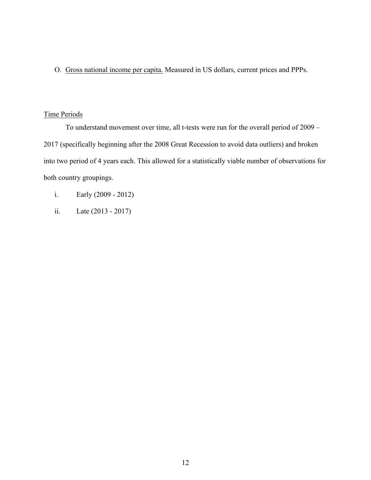O. Gross national income per capita. Measured in US dollars, current prices and PPPs.

## Time Periods

To understand movement over time, all t-tests were run for the overall period of 2009 – 2017 (specifically beginning after the 2008 Great Recession to avoid data outliers) and broken into two period of 4 years each. This allowed for a statistically viable number of observations for both country groupings.

- i. Early (2009 2012)
- ii. Late (2013 2017)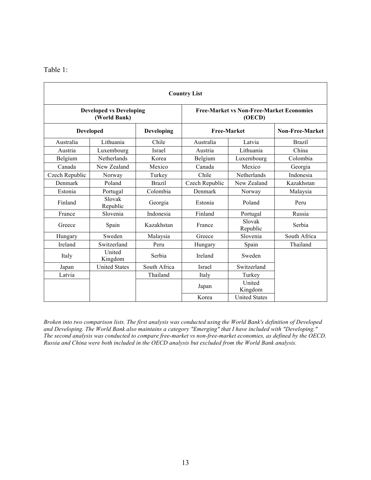| `able |  |
|-------|--|
|       |  |
|       |  |

| <b>Country List</b> |                                                |               |                                                           |                      |                 |  |  |
|---------------------|------------------------------------------------|---------------|-----------------------------------------------------------|----------------------|-----------------|--|--|
|                     | <b>Developed vs Developing</b><br>(World Bank) |               | <b>Free-Market vs Non-Free-Market Economies</b><br>(OECD) |                      |                 |  |  |
| <b>Developed</b>    |                                                | Developing    | <b>Free-Market</b>                                        |                      | Non-Free-Market |  |  |
| Australia           | Lithuania                                      | Chile         | Australia                                                 | Latvia               | <b>Brazil</b>   |  |  |
| Austria             | Luxembourg                                     | <b>Israel</b> | Austria                                                   | Lithuania            | China           |  |  |
| Belgium             | <b>Netherlands</b>                             | Korea         | Belgium                                                   | Luxembourg           | Colombia        |  |  |
| Canada              | New Zealand                                    | Mexico        | Canada                                                    | Mexico               | Georgia         |  |  |
| Czech Republic      | Norway                                         | Turkey        | Chile                                                     | Netherlands          | Indonesia       |  |  |
| Denmark             | Poland                                         | <b>Brazil</b> | Czech Republic                                            | New Zealand          | Kazakhstan      |  |  |
| Estonia             | Portugal                                       | Colombia      | Denmark                                                   | Norway               | Malaysia        |  |  |
| Finland             | Slovak<br>Republic                             | Georgia       | Estonia                                                   | Poland               | Peru            |  |  |
| France              | Slovenia                                       | Indonesia     | Finland                                                   | Portugal             | Russia          |  |  |
| Greece              | Spain                                          | Kazakhstan    | France                                                    | Slovak<br>Republic   | Serbia          |  |  |
| Hungary             | Sweden                                         | Malaysia      | Greece                                                    | Slovenia             | South Africa    |  |  |
| Ireland             | Switzerland                                    | Peru          | Hungary                                                   | Spain                | Thailand        |  |  |
| Italy               | United<br>Kingdom                              | Serbia        | Ireland                                                   | Sweden               |                 |  |  |
| Japan               | <b>United States</b>                           | South Africa  | <b>Israel</b>                                             | Switzerland          |                 |  |  |
| Latvia              |                                                | Thailand      | Italy                                                     | Turkey               |                 |  |  |
|                     |                                                |               | Japan                                                     | United<br>Kingdom    |                 |  |  |
|                     |                                                |               | Korea                                                     | <b>United States</b> |                 |  |  |

*Broken into two comparison lists. The first analysis was conducted using the World Bank's definition of Developed and Developing. The World Bank also maintains a category "Emerging" that I have included with "Developing." The second analysis was conducted to compare free-market vs non-free-market economies, as defined by the OECD. Russia and China were both included in the OECD analysis but excluded from the World Bank analysis.*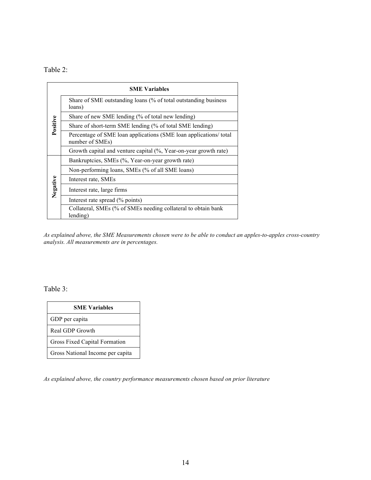Table 2:

|          | <b>SME Variables</b>                                                                 |
|----------|--------------------------------------------------------------------------------------|
|          | Share of SME outstanding loans (% of total outstanding business<br>loans)            |
|          | Share of new SME lending (% of total new lending)                                    |
| Positive | Share of short-term SME lending (% of total SME lending)                             |
|          | Percentage of SME loan applications (SME loan applications/ total<br>number of SMEs) |
|          | Growth capital and venture capital (%, Year-on-year growth rate)                     |
|          | Bankruptcies, SMEs (%, Year-on-year growth rate)                                     |
|          | Non-performing loans, SMEs (% of all SME loans)                                      |
|          | Interest rate, SMEs                                                                  |
| Negative | Interest rate, large firms                                                           |
|          | Interest rate spread (% points)                                                      |
|          | Collateral, SMEs (% of SMEs needing collateral to obtain bank<br>lending)            |

*As explained above, the SME Measurements chosen were to be able to conduct an apples-to-apples cross-country analysis. All measurements are in percentages.*

Table 3:

| <b>SME Variables</b>             |
|----------------------------------|
| GDP per capita                   |
| Real GDP Growth                  |
| Gross Fixed Capital Formation    |
| Gross National Income per capita |

*As explained above, the country performance measurements chosen based on prior literature*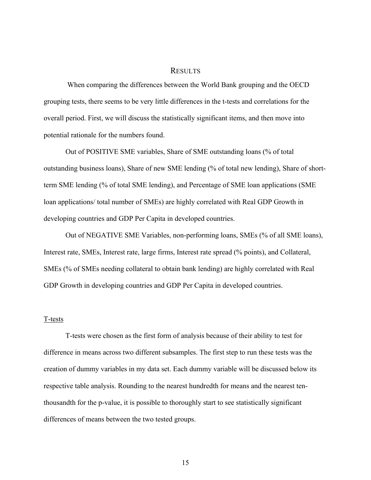#### RESULTS

When comparing the differences between the World Bank grouping and the OECD grouping tests, there seems to be very little differences in the t-tests and correlations for the overall period. First, we will discuss the statistically significant items, and then move into potential rationale for the numbers found.

Out of POSITIVE SME variables, Share of SME outstanding loans (% of total outstanding business loans), Share of new SME lending (% of total new lending), Share of shortterm SME lending (% of total SME lending), and Percentage of SME loan applications (SME loan applications/ total number of SMEs) are highly correlated with Real GDP Growth in developing countries and GDP Per Capita in developed countries.

Out of NEGATIVE SME Variables, non-performing loans, SMEs (% of all SME loans), Interest rate, SMEs, Interest rate, large firms, Interest rate spread (% points), and Collateral, SMEs (% of SMEs needing collateral to obtain bank lending) are highly correlated with Real GDP Growth in developing countries and GDP Per Capita in developed countries.

#### T-tests

T-tests were chosen as the first form of analysis because of their ability to test for difference in means across two different subsamples. The first step to run these tests was the creation of dummy variables in my data set. Each dummy variable will be discussed below its respective table analysis. Rounding to the nearest hundredth for means and the nearest tenthousandth for the p-value, it is possible to thoroughly start to see statistically significant differences of means between the two tested groups.

15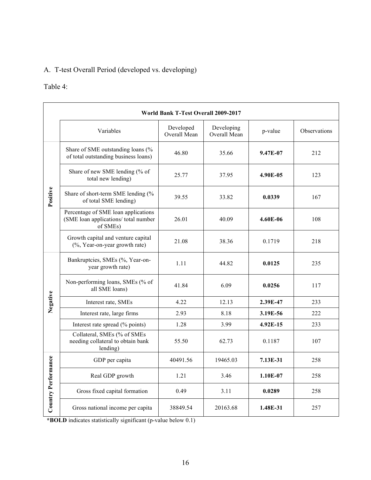## A. T-test Overall Period (developed vs. developing)

## Table 4:

|                     | <b>World Bank T-Test Overall 2009-2017</b>                                              |                           |                            |          |              |  |  |  |
|---------------------|-----------------------------------------------------------------------------------------|---------------------------|----------------------------|----------|--------------|--|--|--|
|                     | Variables                                                                               | Developed<br>Overall Mean | Developing<br>Overall Mean | p-value  | Observations |  |  |  |
|                     | Share of SME outstanding loans (%<br>of total outstanding business loans)               | 46.80                     | 35.66                      | 9.47E-07 | 212          |  |  |  |
|                     | Share of new SME lending (% of<br>total new lending)                                    | 25.77                     | 37.95                      | 4.90E-05 | 123          |  |  |  |
| Positive            | Share of short-term SME lending (%<br>of total SME lending)                             | 39.55                     | 33.82                      | 0.0339   | 167          |  |  |  |
|                     | Percentage of SME loan applications<br>(SME loan applications/ total number<br>of SMEs) | 26.01                     | 40.09                      | 4.60E-06 | 108          |  |  |  |
|                     | Growth capital and venture capital<br>(%, Year-on-year growth rate)                     | 21.08                     | 38.36                      | 0.1719   | 218          |  |  |  |
|                     | Bankruptcies, SMEs (%, Year-on-<br>year growth rate)                                    | 1.11                      | 44.82                      | 0.0125   | 235          |  |  |  |
|                     | Non-performing loans, SMEs (% of<br>all SME loans)                                      | 41.84                     | 6.09                       | 0.0256   | 117          |  |  |  |
| Negative            | Interest rate, SMEs                                                                     | 4.22                      | 12.13                      | 2.39E-47 | 233          |  |  |  |
|                     | Interest rate, large firms                                                              | 2.93                      | 8.18                       | 3.19E-56 | 222          |  |  |  |
|                     | Interest rate spread (% points)                                                         | 1.28                      | 3.99                       | 4.92E-15 | 233          |  |  |  |
|                     | Collateral, SMEs (% of SMEs<br>needing collateral to obtain bank<br>lending)            | 55.50                     | 62.73                      | 0.1187   | 107          |  |  |  |
|                     | GDP per capita                                                                          | 40491.56                  | 19465.03                   | 7.13E-31 | 258          |  |  |  |
|                     | Real GDP growth                                                                         | 1.21                      | 3.46                       | 1.10E-07 | 258          |  |  |  |
| Country Performance | Gross fixed capital formation                                                           | 0.49                      | 3.11                       | 0.0289   | 258          |  |  |  |
|                     | Gross national income per capita                                                        | 38849.54                  | 20163.68                   | 1.48E-31 | 257          |  |  |  |

**\*BOLD** indicates statistically significant (p-value below 0.1)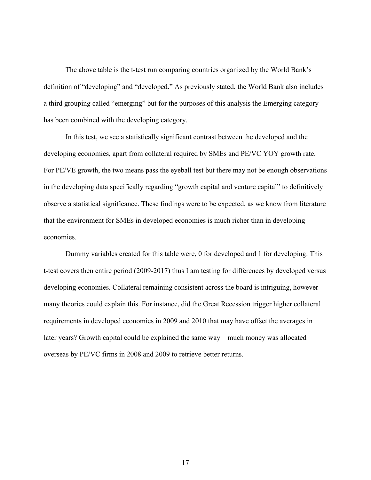The above table is the t-test run comparing countries organized by the World Bank's definition of "developing" and "developed." As previously stated, the World Bank also includes a third grouping called "emerging" but for the purposes of this analysis the Emerging category has been combined with the developing category.

In this test, we see a statistically significant contrast between the developed and the developing economies, apart from collateral required by SMEs and PE/VC YOY growth rate. For PE/VE growth, the two means pass the eyeball test but there may not be enough observations in the developing data specifically regarding "growth capital and venture capital" to definitively observe a statistical significance. These findings were to be expected, as we know from literature that the environment for SMEs in developed economies is much richer than in developing economies.

Dummy variables created for this table were, 0 for developed and 1 for developing. This t-test covers then entire period (2009-2017) thus I am testing for differences by developed versus developing economies. Collateral remaining consistent across the board is intriguing, however many theories could explain this. For instance, did the Great Recession trigger higher collateral requirements in developed economies in 2009 and 2010 that may have offset the averages in later years? Growth capital could be explained the same way – much money was allocated overseas by PE/VC firms in 2008 and 2009 to retrieve better returns.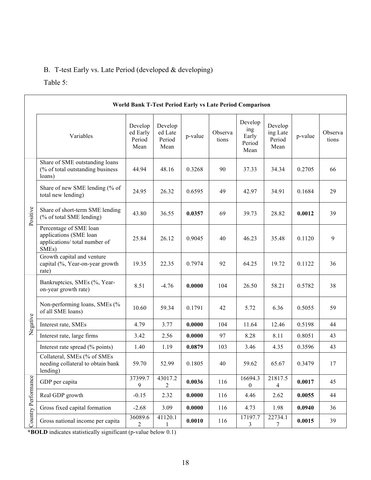## B. T-test Early vs. Late Period (developed & developing)

## Table 5:

|                     | World Bank T-Test Period Early vs Late Period Comparison                                                |                                       |                                      |         |                  |                                           |                                       |         |                  |
|---------------------|---------------------------------------------------------------------------------------------------------|---------------------------------------|--------------------------------------|---------|------------------|-------------------------------------------|---------------------------------------|---------|------------------|
|                     | Variables                                                                                               | Develop<br>ed Early<br>Period<br>Mean | Develop<br>ed Late<br>Period<br>Mean | p-value | Observa<br>tions | Develop<br>ing<br>Early<br>Period<br>Mean | Develop<br>ing Late<br>Period<br>Mean | p-value | Observa<br>tions |
|                     | Share of SME outstanding loans<br>(% of total outstanding business<br>loans)                            | 44.94                                 | 48.16                                | 0.3268  | 90               | 37.33                                     | 34.34                                 | 0.2705  | 66               |
|                     | Share of new SME lending (% of<br>total new lending)                                                    | 24.95                                 | 26.32                                | 0.6595  | 49               | 42.97                                     | 34.91                                 | 0.1684  | 29               |
| Positive            | Share of short-term SME lending<br>(% of total SME lending)                                             | 43.80                                 | 36.55                                | 0.0357  | 69               | 39.73                                     | 28.82                                 | 0.0012  | 39               |
|                     | Percentage of SME loan<br>applications (SME loan<br>applications/ total number of<br>SME <sub>s</sub> ) | 25.84                                 | 26.12                                | 0.9045  | 40               | 46.23                                     | 35.48                                 | 0.1120  | 9                |
|                     | Growth capital and venture<br>capital (%, Year-on-year growth<br>rate)                                  | 19.35                                 | 22.35                                | 0.7974  | 92               | 64.25                                     | 19.72                                 | 0.1122  | 36               |
|                     | Bankruptcies, SMEs (%, Year-<br>on-year growth rate)                                                    | 8.51                                  | $-4.76$                              | 0.0000  | 104              | 26.50                                     | 58.21                                 | 0.5782  | 38               |
|                     | Non-performing loans, SMEs (%<br>of all SME loans)                                                      | 10.60                                 | 59.34                                | 0.1791  | 42               | 5.72                                      | 6.36                                  | 0.5055  | 59               |
| Negative            | Interest rate, SMEs                                                                                     | 4.79                                  | 3.77                                 | 0.0000  | 104              | 11.64                                     | 12.46                                 | 0.5198  | 44               |
|                     | Interest rate, large firms                                                                              | 3.42                                  | 2.56                                 | 0.0000  | 97               | 8.28                                      | 8.11                                  | 0.8051  | 43               |
|                     | Interest rate spread (% points)                                                                         | 1.40                                  | 1.19                                 | 0.0879  | 103              | 3.46                                      | 4.35                                  | 0.3596  | 43               |
|                     | Collateral, SMEs (% of SMEs<br>needing collateral to obtain bank<br>lending)                            | 59.70                                 | 52.99                                | 0.1805  | 40               | 59.62                                     | 65.67                                 | 0.3479  | 17               |
| Country Performance | GDP per capita                                                                                          | 37399.7<br>9                          | 43017.2<br>$\overline{c}$            | 0.0036  | 116              | 16694.3<br>$\boldsymbol{0}$               | 21817.5<br>4                          | 0.0017  | 45               |
|                     | Real GDP growth                                                                                         | $-0.15$                               | 2.32                                 | 0.0000  | 116              | 4.46                                      | 2.62                                  | 0.0055  | 44               |
|                     | Gross fixed capital formation                                                                           | $-2.68$                               | 3.09                                 | 0.0000  | 116              | 4.73                                      | 1.98                                  | 0.0940  | 36               |
|                     | Gross national income per capita                                                                        | 36089.6<br>$\overline{2}$             | 41120.1                              | 0.0010  | 116              | 17197.7<br>3                              | 22734.1<br>7                          | 0.0015  | 39               |

**\*BOLD** indicates statistically significant (p-value below 0.1)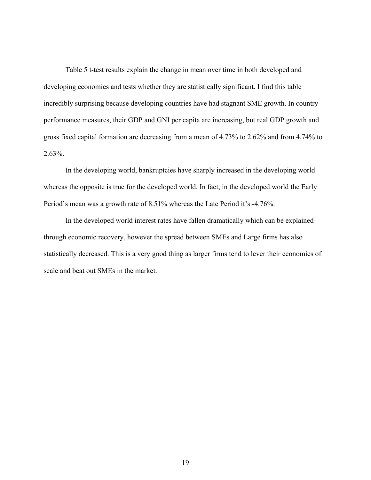Table 5 t-test results explain the change in mean over time in both developed and developing economies and tests whether they are statistically significant. I find this table incredibly surprising because developing countries have had stagnant SME growth. In country performance measures, their GDP and GNI per capita are increasing, but real GDP growth and gross fixed capital formation are decreasing from a mean of 4.73% to 2.62% and from 4.74% to 2.63%.

In the developing world, bankruptcies have sharply increased in the developing world whereas the opposite is true for the developed world. In fact, in the developed world the Early Period's mean was a growth rate of 8.51% whereas the Late Period it's -4.76%.

In the developed world interest rates have fallen dramatically which can be explained through economic recovery, however the spread between SMEs and Large firms has also statistically decreased. This is a very good thing as larger firms tend to lever their economies of scale and beat out SMEs in the market.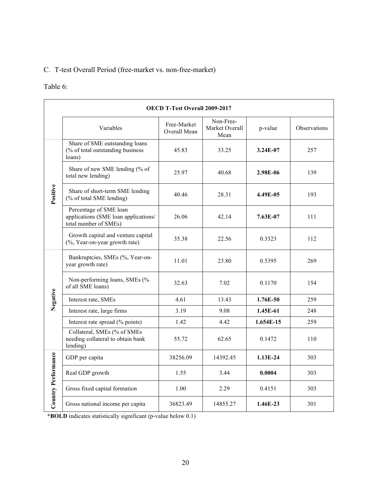## C. T-test Overall Period (free-market vs. non-free-market)

## Table 6:

|                     | <b>OECD T-Test Overall 2009-2017</b>                                                    |                             |                                     |             |              |  |  |
|---------------------|-----------------------------------------------------------------------------------------|-----------------------------|-------------------------------------|-------------|--------------|--|--|
|                     | Variables                                                                               | Free-Market<br>Overall Mean | Non-Free-<br>Market Overall<br>Mean | p-value     | Observations |  |  |
|                     | Share of SME outstanding loans<br>(% of total outstanding business<br>loans)            | 45.83                       | 33.25                               | 3.24E-07    | 257          |  |  |
|                     | Share of new SME lending (% of<br>total new lending)                                    | 25.97                       | 40.68                               | 2.98E-06    | 139          |  |  |
| Positive            | Share of short-term SME lending<br>(% of total SME lending)                             | 40.46                       | 28.31                               | 4.49E-05    | 193          |  |  |
|                     | Percentage of SME loan<br>applications (SME loan applications/<br>total number of SMEs) | 26.06                       | 42.14                               | 7.63E-07    | 111          |  |  |
|                     | Growth capital and venture capital<br>(%, Year-on-year growth rate)                     | 35.38                       | 22.56                               | 0.3323      | 112          |  |  |
|                     | Bankruptcies, SMEs (%, Year-on-<br>year growth rate)                                    | 11.01                       | 23.80                               | 0.5395      | 269          |  |  |
|                     | Non-performing loans, SMEs (%<br>of all SME loans)                                      | 32.63                       | 7.02                                | 0.1170      | 154          |  |  |
| Negative            | Interest rate, SMEs                                                                     | 4.61                        | 13.43                               | 1.76E-50    | 259          |  |  |
|                     | Interest rate, large firms                                                              | 3.19                        | 9.08                                | 1.45E-61    | 248          |  |  |
|                     | Interest rate spread (% points)                                                         | 1.42                        | 4.42                                | $1.654E-15$ | 259          |  |  |
|                     | Collateral, SMEs (% of SMEs<br>needing collateral to obtain bank<br>lending)            | 55.72                       | 62.65                               | 0.1472      | 110          |  |  |
|                     | GDP per capita                                                                          | 38256.09                    | 14392.45                            | $1.13E-24$  | 303          |  |  |
| Country Performance | Real GDP growth                                                                         | 1.55                        | 3.44                                | 0.0004      | 303          |  |  |
|                     | Gross fixed capital formation                                                           | 1.00                        | 2.29                                | 0.4151      | 303          |  |  |
|                     | Gross national income per capita                                                        | 36823.49                    | 14855.27                            | 1.46E-23    | 301          |  |  |

**\*BOLD** indicates statistically significant (p-value below 0.1)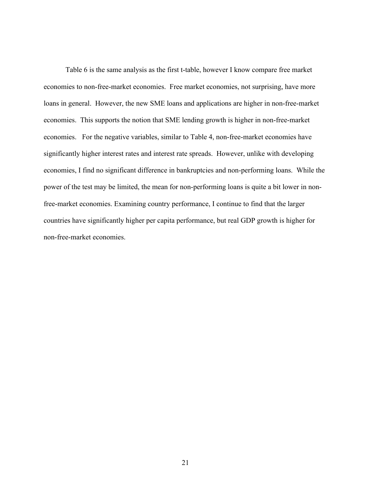Table 6 is the same analysis as the first t-table, however I know compare free market economies to non-free-market economies. Free market economies, not surprising, have more loans in general. However, the new SME loans and applications are higher in non-free-market economies. This supports the notion that SME lending growth is higher in non-free-market economies. For the negative variables, similar to Table 4, non-free-market economies have significantly higher interest rates and interest rate spreads. However, unlike with developing economies, I find no significant difference in bankruptcies and non-performing loans. While the power of the test may be limited, the mean for non-performing loans is quite a bit lower in nonfree-market economies. Examining country performance, I continue to find that the larger countries have significantly higher per capita performance, but real GDP growth is higher for non-free-market economies.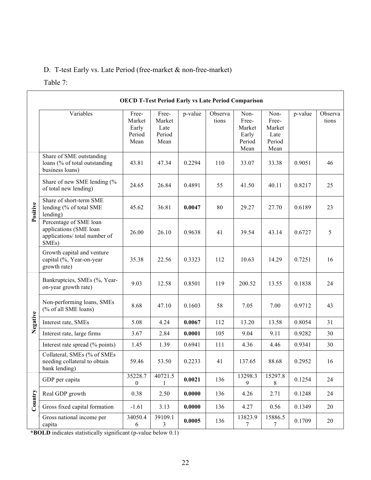## D. T-test Early vs. Late Period (free-market & non-free-market)

#### Table 7:

|                                 | <b>OECD T-Test Period Early vs Late Period Comparison</b>                                               |                                            |                                           |         |                  |                                                    |                                                   |         |                  |  |
|---------------------------------|---------------------------------------------------------------------------------------------------------|--------------------------------------------|-------------------------------------------|---------|------------------|----------------------------------------------------|---------------------------------------------------|---------|------------------|--|
|                                 | Variables                                                                                               | Free-<br>Market<br>Early<br>Period<br>Mean | Free-<br>Market<br>Late<br>Period<br>Mean | p-value | Observa<br>tions | Non-<br>Free-<br>Market<br>Early<br>Period<br>Mean | Non-<br>Free-<br>Market<br>Late<br>Period<br>Mean | p-value | Observa<br>tions |  |
|                                 | Share of SME outstanding<br>loans (% of total outstanding<br>business loans)                            | 43.81                                      | 47.34                                     | 0.2294  | 110              | 33.07                                              | 33.38                                             | 0.9051  | 46               |  |
|                                 | Share of new SME lending (%<br>of total new lending)                                                    | 24.65                                      | 26.84                                     | 0.4891  | 55               | 41.50                                              | 40.11                                             | 0.8217  | 25               |  |
| Positive                        | Share of short-term SME<br>lending (% of total SME<br>lending)                                          | 45.62                                      | 36.81                                     | 0.0047  | 80               | 29.27                                              | 27.70                                             | 0.6189  | 23               |  |
|                                 | Percentage of SME loan<br>applications (SME loan<br>applications/ total number of<br>SME <sub>s</sub> ) | 26.00                                      | 26.10                                     | 0.9638  | 41               | 39.54                                              | 43.14                                             | 0.6727  | 5                |  |
|                                 | Growth capital and venture<br>capital (%, Year-on-year<br>growth rate)                                  | 35.38                                      | 22.56                                     | 0.3323  | 112              | 10.63                                              | 14.29                                             | 0.7251  | 16               |  |
|                                 | Bankruptcies, SMEs (%, Year-<br>on-year growth rate)                                                    | 9.03                                       | 12.58                                     | 0.8501  | 119              | 200.52                                             | 13.55                                             | 0.1838  | 24               |  |
|                                 | Non-performing loans, SMEs<br>(% of all SME loans)                                                      | 8.68                                       | 47.10                                     | 0.1603  | 58               | 7.05                                               | 7.00                                              | 0.9712  | 43               |  |
| Negative                        | Interest rate, SMEs                                                                                     | 5.08                                       | 4.24                                      | 0.0067  | 112              | 13.20                                              | 13.58                                             | 0.8054  | 31               |  |
|                                 | Interest rate, large firms                                                                              | 3.67                                       | 2.84                                      | 0.0001  | 105              | 9.04                                               | 9.11                                              | 0.9282  | 30               |  |
|                                 | Interest rate spread (% points)                                                                         | 1.45                                       | 1.39                                      | 0.6941  | 111              | 4.36                                               | 4.46                                              | 0.9341  | 30               |  |
|                                 | Collateral, SMEs (% of SMEs<br>needing collateral to obtain<br>bank lending)                            | 59.46                                      | 53.50                                     | 0.2233  | 41               | 137.65                                             | 88.68                                             | 0.2952  | 16               |  |
|                                 | GDP per capita                                                                                          | 35228.7<br>$\boldsymbol{0}$                | 40721.5<br>1                              | 0.0021  | 136              | 13298.3<br>9                                       | 15297.8<br>8                                      | 0.1254  | 24               |  |
|                                 | Real GDP growth                                                                                         | 0.38                                       | 2.50                                      | 0.0000  | 136              | 4.26                                               | 2.71                                              | 0.1248  | 24               |  |
| $\mathop{\rm Commtry}\nolimits$ | Gross fixed capital formation                                                                           | $-1.61$                                    | 3.13                                      | 0.0000  | 136              | 4.27                                               | 0.56                                              | 0.1349  | $20\,$           |  |
|                                 | Gross national income per<br>capita                                                                     | 34050.4<br>6                               | 39109.1<br>3                              | 0.0005  | 136              | 13823.9<br>$\tau$                                  | 15886.5<br>7                                      | 0.1709  | 20               |  |

**\*BOLD** indicates statistically significant (p-value below 0.1)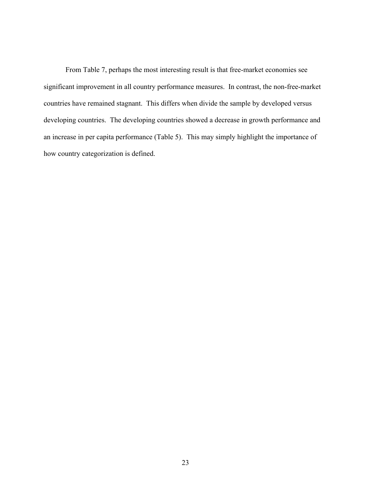From Table 7, perhaps the most interesting result is that free-market economies see significant improvement in all country performance measures. In contrast, the non-free-market countries have remained stagnant. This differs when divide the sample by developed versus developing countries. The developing countries showed a decrease in growth performance and an increase in per capita performance (Table 5). This may simply highlight the importance of how country categorization is defined.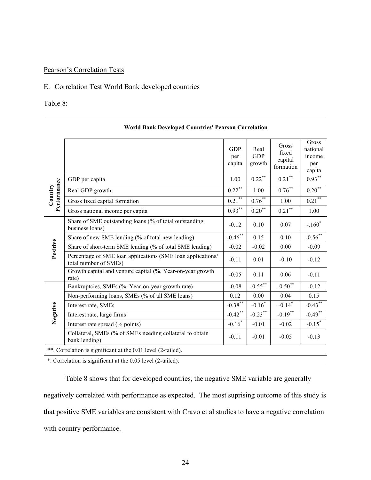## Pearson's Correlation Tests

#### E. Correlation Test World Bank developed countries

#### Table 8:

|                        | <b>World Bank Developed Countries' Pearson Correlation</b>                           |                             |                              |                                        |                                              |  |  |  |
|------------------------|--------------------------------------------------------------------------------------|-----------------------------|------------------------------|----------------------------------------|----------------------------------------------|--|--|--|
|                        |                                                                                      | <b>GDP</b><br>per<br>capita | Real<br><b>GDP</b><br>growth | Gross<br>fixed<br>capital<br>formation | Gross<br>national<br>income<br>per<br>capita |  |  |  |
|                        | GDP per capita                                                                       | 1.00                        | $0.22$ **                    | $0.21\sp{*}$                           | $0.93***$                                    |  |  |  |
| Country<br>Performance | Real GDP growth                                                                      | $0.22$ **                   | 1.00                         | $0.76^{\ast\ast}$                      | $0.20***$                                    |  |  |  |
|                        | Gross fixed capital formation                                                        | $0.21\sp{**}$               | $0.76^{\ast\ast}$            | 1.00                                   | $0.21\sp{**}$                                |  |  |  |
|                        | Gross national income per capita                                                     | $0.93***$                   | $0.20$ <sup>**</sup>         | $0.21$ **                              | 1.00                                         |  |  |  |
|                        | Share of SME outstanding loans (% of total outstanding<br>business loans)            | $-0.12$                     | 0.10                         | 0.07                                   | $-.160*$                                     |  |  |  |
|                        | Share of new SME lending (% of total new lending)                                    | $-0.46$ **                  | 0.15                         | 0.10                                   | $-0.56$ **                                   |  |  |  |
| Positive               | Share of short-term SME lending (% of total SME lending)                             | $-0.02$                     | $-0.02$                      | 0.00                                   | $-0.09$                                      |  |  |  |
|                        | Percentage of SME loan applications (SME loan applications/<br>total number of SMEs) | $-0.11$                     | 0.01                         | $-0.10$                                | $-0.12$                                      |  |  |  |
|                        | Growth capital and venture capital (%, Year-on-year growth<br>rate)                  | $-0.05$                     | 0.11                         | 0.06                                   | $-0.11$                                      |  |  |  |
|                        | Bankruptcies, SMEs (%, Year-on-year growth rate)                                     | $-0.08$                     | $-0.55***$                   | $-0.50$ <sup>**</sup>                  | $-0.12$                                      |  |  |  |
|                        | Non-performing loans, SMEs (% of all SME loans)                                      | 0.12                        | 0.00                         | 0.04                                   | 0.15                                         |  |  |  |
|                        | Interest rate, SMEs                                                                  | $-0.38$ <sup>**</sup>       | $-0.16*$                     | $-0.14$ <sup>*</sup>                   | $-0.43$ **                                   |  |  |  |
| Negative               | Interest rate, large firms                                                           | $-0.42$ **                  | $-0.23$ <sup>**</sup>        | $-0.19$ <sup>**</sup>                  | $-0.49$ **                                   |  |  |  |
|                        | Interest rate spread (% points)                                                      | $-0.16*$                    | $-0.01$                      | $-0.02$                                | $-0.15$ <sup>*</sup>                         |  |  |  |
|                        | Collateral, SMEs (% of SMEs needing collateral to obtain<br>bank lending)            | $-0.11$                     | $-0.01$                      | $-0.05$                                | $-0.13$                                      |  |  |  |
|                        | **. Correlation is significant at the 0.01 level (2-tailed).                         |                             |                              |                                        |                                              |  |  |  |
|                        | *. Correlation is significant at the 0.05 level (2-tailed).                          |                             |                              |                                        |                                              |  |  |  |

Table 8 shows that for developed countries, the negative SME variable are generally negatively correlated with performance as expected. The most suprising outcome of this study is that positive SME variables are consistent with Cravo et al studies to have a negative correlation with country performance.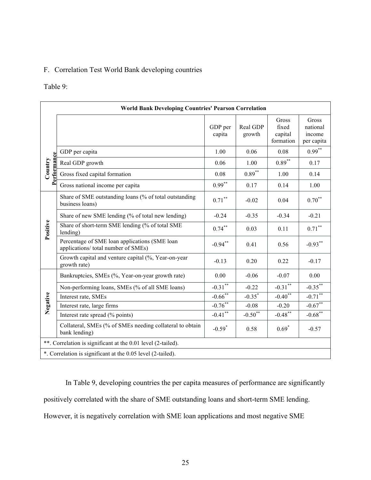### F. Correlation Test World Bank developing countries

## Table 9:

| <b>World Bank Developing Countries' Pearson Correlation</b> |                                                                                      |                       |                       |                                        |                                           |  |  |  |
|-------------------------------------------------------------|--------------------------------------------------------------------------------------|-----------------------|-----------------------|----------------------------------------|-------------------------------------------|--|--|--|
|                                                             |                                                                                      | GDP per<br>capita     | Real GDP<br>growth    | Gross<br>fixed<br>capital<br>formation | Gross<br>national<br>income<br>per capita |  |  |  |
|                                                             | GDP per capita                                                                       | 1.00                  | 0.06                  | 0.08                                   | $0.99***$                                 |  |  |  |
|                                                             | Real GDP growth                                                                      | 0.06                  | 1.00                  | $0.89***$                              | 0.17                                      |  |  |  |
| Performance<br>Country                                      | Gross fixed capital formation                                                        | 0.08                  | $0.89***$             | 1.00                                   | 0.14                                      |  |  |  |
|                                                             | Gross national income per capita                                                     | $0.99***$             | 0.17                  | 0.14                                   | 1.00                                      |  |  |  |
| Positive                                                    | Share of SME outstanding loans (% of total outstanding<br>business loans)            | $0.71^{\ast\ast}$     | $-0.02$               | 0.04                                   | $0.70^{\ast\ast}$                         |  |  |  |
|                                                             | Share of new SME lending (% of total new lending)                                    | $-0.24$               | $-0.35$               | $-0.34$                                | $-0.21$                                   |  |  |  |
|                                                             | Share of short-term SME lending (% of total SME<br>lending)                          | $0.74***$             | 0.03                  | 0.11                                   | $0.71^{\ast\ast}$                         |  |  |  |
|                                                             | Percentage of SME loan applications (SME loan<br>applications/ total number of SMEs) | $-0.94***$            | 0.41                  | 0.56                                   | $-0.93***$                                |  |  |  |
|                                                             | Growth capital and venture capital (%, Year-on-year<br>growth rate)                  | $-0.13$               | 0.20                  | 0.22                                   | $-0.17$                                   |  |  |  |
|                                                             | Bankruptcies, SMEs (%, Year-on-year growth rate)                                     | 0.00                  | $-0.06$               | $-0.07$                                | 0.00                                      |  |  |  |
|                                                             | Non-performing loans, SMEs (% of all SME loans)                                      | $-0.31***$            | $-0.22$               | $-0.31***$                             | $-0.35***$                                |  |  |  |
| Negative                                                    | Interest rate, SMEs                                                                  | $-0.66$ <sup>**</sup> | $-0.35^*$             | $-0.40^{**}$                           | $-0.71$ **                                |  |  |  |
|                                                             | Interest rate, large firms                                                           | $-0.76$ **            | $-0.08$               | $-0.20$                                | $-0.67$ **                                |  |  |  |
|                                                             | Interest rate spread (% points)                                                      | $-0.41$ <sup>**</sup> | $-0.50$ <sup>**</sup> | $-0.48$ **                             | $-0.68$ <sup>**</sup>                     |  |  |  |
|                                                             | Collateral, SMEs (% of SMEs needing collateral to obtain<br>bank lending)            | $-0.59*$              | 0.58                  | $0.69*$                                | $-0.57$                                   |  |  |  |
|                                                             | **. Correlation is significant at the 0.01 level (2-tailed).                         |                       |                       |                                        |                                           |  |  |  |
|                                                             | *. Correlation is significant at the 0.05 level (2-tailed).                          |                       |                       |                                        |                                           |  |  |  |

In Table 9, developing countries the per capita measures of performance are significantly positively correlated with the share of SME outstanding loans and short-term SME lending. However, it is negatively correlation with SME loan applications and most negative SME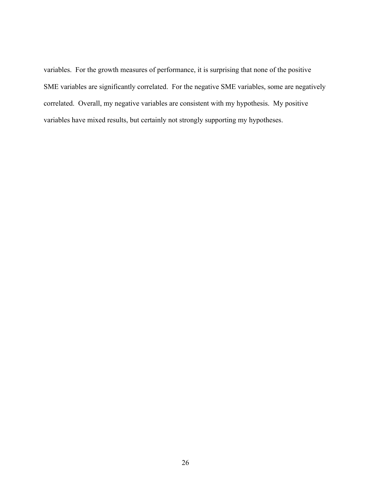variables. For the growth measures of performance, it is surprising that none of the positive SME variables are significantly correlated. For the negative SME variables, some are negatively correlated. Overall, my negative variables are consistent with my hypothesis. My positive variables have mixed results, but certainly not strongly supporting my hypotheses.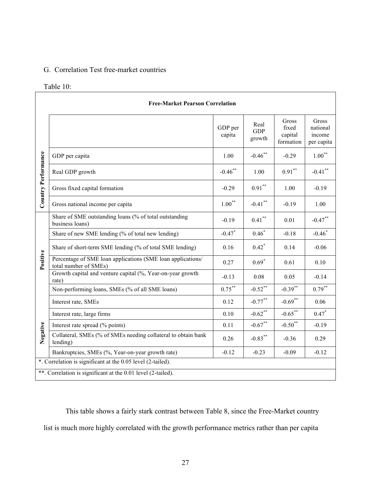## G. Correlation Test free-market countries

#### Table 10:

| <b>Free-Market Pearson Correlation</b>                       |                                                                                      |                      |                              |                                        |                                           |  |  |  |
|--------------------------------------------------------------|--------------------------------------------------------------------------------------|----------------------|------------------------------|----------------------------------------|-------------------------------------------|--|--|--|
|                                                              |                                                                                      | GDP per<br>capita    | Real<br><b>GDP</b><br>growth | Gross<br>fixed<br>capital<br>formation | Gross<br>national<br>income<br>per capita |  |  |  |
| Country Performance                                          | GDP per capita                                                                       | 1.00                 | $-0.46$ **                   | $-0.29$                                | $1.00***$                                 |  |  |  |
|                                                              | Real GDP growth                                                                      | $-0.46$ **           | 1.00                         | $0.91***$                              | $-0.41$ **                                |  |  |  |
|                                                              | Gross fixed capital formation                                                        | $-0.29$              | $0.91***$                    | 1.00                                   | $-0.19$                                   |  |  |  |
|                                                              | Gross national income per capita                                                     | $1.00***$            | $-0.41$ **                   | $-0.19$                                | 1.00                                      |  |  |  |
| Positive<br>Negative                                         | Share of SME outstanding loans (% of total outstanding<br>business loans)            | $-0.19$              | $0.41^{\ast\ast}$            | 0.01                                   | $-0.47$ **                                |  |  |  |
|                                                              | Share of new SME lending (% of total new lending)                                    | $-0.47$ <sup>*</sup> | $0.46*$                      | $-0.18$                                | $-0.46$ <sup>*</sup>                      |  |  |  |
|                                                              | Share of short-term SME lending (% of total SME lending)                             | 0.16                 | $0.42$ <sup>*</sup>          | 0.14                                   | $-0.06$                                   |  |  |  |
|                                                              | Percentage of SME loan applications (SME loan applications/<br>total number of SMEs) | 0.27                 | $0.69*$                      | 0.61                                   | 0.10                                      |  |  |  |
|                                                              | Growth capital and venture capital (%, Year-on-year growth<br>rate)                  | $-0.13$              | 0.08                         | 0.05                                   | $-0.14$                                   |  |  |  |
|                                                              | Non-performing loans, SMEs (% of all SME loans)                                      | $0.75***$            | $-0.52$ **                   | $-0.39$ **                             | $0.79***$                                 |  |  |  |
|                                                              | Interest rate, SMEs                                                                  | 0.12                 | $-0.77$ **                   | $-0.69$ **                             | 0.06                                      |  |  |  |
|                                                              | Interest rate, large firms                                                           | 0.10                 | $-0.62$ <sup>**</sup>        | $-0.65$ **                             | $0.47*$                                   |  |  |  |
|                                                              | Interest rate spread (% points)                                                      | 0.11                 | $-0.67$ **                   | $-0.50$ <sup>**</sup>                  | $-0.19$                                   |  |  |  |
|                                                              | Collateral, SMEs (% of SMEs needing collateral to obtain bank<br>lending)            | 0.26                 | $-0.83***$                   | $-0.36$                                | 0.29                                      |  |  |  |
|                                                              | Bankruptcies, SMEs (%, Year-on-year growth rate)                                     | $-0.12$              | $-0.23$                      | $-0.09$                                | $-0.12$                                   |  |  |  |
| *. Correlation is significant at the 0.05 level (2-tailed).  |                                                                                      |                      |                              |                                        |                                           |  |  |  |
| **. Correlation is significant at the 0.01 level (2-tailed). |                                                                                      |                      |                              |                                        |                                           |  |  |  |

This table shows a fairly stark contrast between Table 8, since the Free-Market country list is much more highly correlated with the growth performance metrics rather than per capita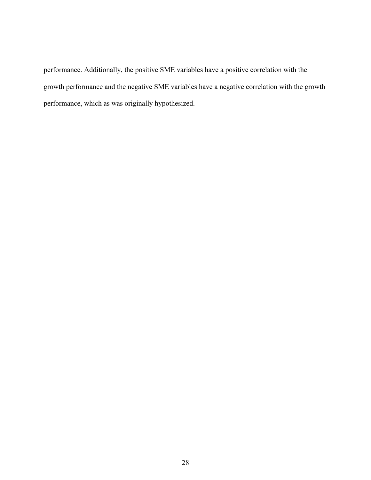performance. Additionally, the positive SME variables have a positive correlation with the growth performance and the negative SME variables have a negative correlation with the growth performance, which as was originally hypothesized.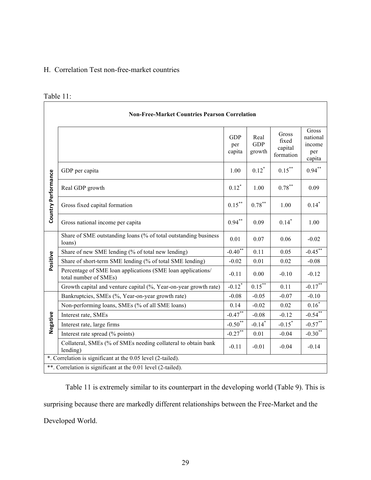## H. Correlation Test non-free-market countries

## Table 11:

| <b>Non-Free-Market Countries Pearson Correlation</b>         |                                                                                      |                             |                              |                                        |                                              |  |  |  |
|--------------------------------------------------------------|--------------------------------------------------------------------------------------|-----------------------------|------------------------------|----------------------------------------|----------------------------------------------|--|--|--|
|                                                              |                                                                                      | <b>GDP</b><br>per<br>capita | Real<br><b>GDP</b><br>growth | Gross<br>fixed<br>capital<br>formation | Gross<br>national<br>income<br>per<br>capita |  |  |  |
|                                                              | GDP per capita                                                                       | 1.00                        | $0.12^*$                     | $0.15***$                              | $0.94***$                                    |  |  |  |
| Country Performance                                          | Real GDP growth                                                                      | $0.12^*$                    | 1.00                         | $0.78^{\ast\ast}$                      | 0.09                                         |  |  |  |
|                                                              | Gross fixed capital formation                                                        | $0.15***$                   | $0.78^{\ast\ast}$            | 1.00                                   | $0.14*$                                      |  |  |  |
|                                                              | Gross national income per capita                                                     | $0.94***$                   | 0.09                         | $0.14*$                                | 1.00                                         |  |  |  |
|                                                              | Share of SME outstanding loans (% of total outstanding business<br>loans)            | 0.01                        | 0.07                         | 0.06                                   | $-0.02$                                      |  |  |  |
|                                                              | Share of new SME lending (% of total new lending)                                    | $-0.40$ <sup>**</sup>       | 0.11                         | 0.05                                   | $-0.45$ **                                   |  |  |  |
| Positive                                                     | Share of short-term SME lending (% of total SME lending)                             | $-0.02$                     | 0.01                         | 0.02                                   | $-0.08$                                      |  |  |  |
|                                                              | Percentage of SME loan applications (SME loan applications/<br>total number of SMEs) | $-0.11$                     | 0.00                         | $-0.10$                                | $-0.12$                                      |  |  |  |
|                                                              | Growth capital and venture capital (%, Year-on-year growth rate)                     | $-0.12$ <sup>*</sup>        | $0.15***$                    | 0.11                                   | $-0.17$ <sup>**</sup>                        |  |  |  |
|                                                              | Bankruptcies, SMEs (%, Year-on-year growth rate)                                     | $-0.08$                     | $-0.05$                      | $-0.07$                                | $-0.10$                                      |  |  |  |
|                                                              | Non-performing loans, SMEs (% of all SME loans)                                      | 0.14                        | $-0.02$                      | 0.02                                   | $0.16*$                                      |  |  |  |
|                                                              | Interest rate, SMEs                                                                  | $-0.47$ **                  | $-0.08$                      | $-0.12$                                | $-0.54$ **                                   |  |  |  |
| Negative                                                     | Interest rate, large firms                                                           | $-0.50$ <sup>**</sup>       | $-0.14$ <sup>*</sup>         | $-0.15*$                               | $-0.57$ **                                   |  |  |  |
|                                                              | Interest rate spread (% points)                                                      | $-0.27$ **                  | 0.01                         | $-0.04$                                | $-0.30$ <sup>**</sup>                        |  |  |  |
|                                                              | Collateral, SMEs (% of SMEs needing collateral to obtain bank<br>lending)            | $-0.11$                     | $-0.01$                      | $-0.04$                                | $-0.14$                                      |  |  |  |
| *. Correlation is significant at the 0.05 level (2-tailed).  |                                                                                      |                             |                              |                                        |                                              |  |  |  |
| **. Correlation is significant at the 0.01 level (2-tailed). |                                                                                      |                             |                              |                                        |                                              |  |  |  |

Table 11 is extremely similar to its counterpart in the developing world (Table 9). This is surprising because there are markedly different relationships between the Free-Market and the Developed World.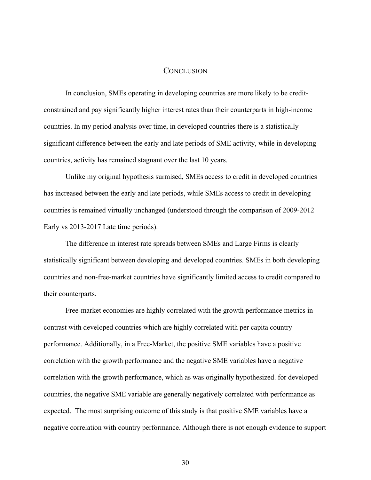#### **CONCLUSION**

In conclusion, SMEs operating in developing countries are more likely to be creditconstrained and pay significantly higher interest rates than their counterparts in high-income countries. In my period analysis over time, in developed countries there is a statistically significant difference between the early and late periods of SME activity, while in developing countries, activity has remained stagnant over the last 10 years.

Unlike my original hypothesis surmised, SMEs access to credit in developed countries has increased between the early and late periods, while SMEs access to credit in developing countries is remained virtually unchanged (understood through the comparison of 2009-2012 Early vs 2013-2017 Late time periods).

The difference in interest rate spreads between SMEs and Large Firms is clearly statistically significant between developing and developed countries. SMEs in both developing countries and non-free-market countries have significantly limited access to credit compared to their counterparts.

Free-market economies are highly correlated with the growth performance metrics in contrast with developed countries which are highly correlated with per capita country performance. Additionally, in a Free-Market, the positive SME variables have a positive correlation with the growth performance and the negative SME variables have a negative correlation with the growth performance, which as was originally hypothesized. for developed countries, the negative SME variable are generally negatively correlated with performance as expected. The most surprising outcome of this study is that positive SME variables have a negative correlation with country performance. Although there is not enough evidence to support

30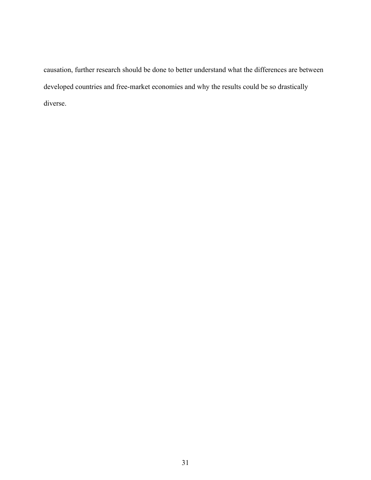causation, further research should be done to better understand what the differences are between developed countries and free-market economies and why the results could be so drastically diverse.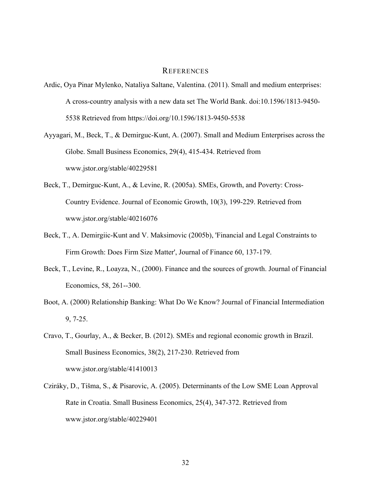#### REFERENCES

- Ardic, Oya Pinar Mylenko, Nataliya Saltane, Valentina. (2011). Small and medium enterprises: A cross-country analysis with a new data set The World Bank. doi:10.1596/1813-9450- 5538 Retrieved from https://doi.org/10.1596/1813-9450-5538
- Ayyagari, M., Beck, T., & Demirguc-Kunt, A. (2007). Small and Medium Enterprises across the Globe. Small Business Economics, 29(4), 415-434. Retrieved from www.jstor.org/stable/40229581
- Beck, T., Demirguc-Kunt, A., & Levine, R. (2005a). SMEs, Growth, and Poverty: Cross-Country Evidence. Journal of Economic Growth, 10(3), 199-229. Retrieved from www.jstor.org/stable/40216076
- Beck, T., A. Demirgiic-Kunt and V. Maksimovic (2005b), 'Financial and Legal Constraints to Firm Growth: Does Firm Size Matter', Journal of Finance 60, 137-179.
- Beck, T., Levine, R., Loayza, N., (2000). Finance and the sources of growth. Journal of Financial Economics, 58, 261--300.
- Boot, A. (2000) Relationship Banking: What Do We Know? Journal of Financial Intermediation 9, 7-25.
- Cravo, T., Gourlay, A., & Becker, B. (2012). SMEs and regional economic growth in Brazil. Small Business Economics, 38(2), 217-230. Retrieved from www.jstor.org/stable/41410013
- Cziráky, D., Tišma, S., & Pisarovic, A. (2005). Determinants of the Low SME Loan Approval Rate in Croatia. Small Business Economics, 25(4), 347-372. Retrieved from www.jstor.org/stable/40229401